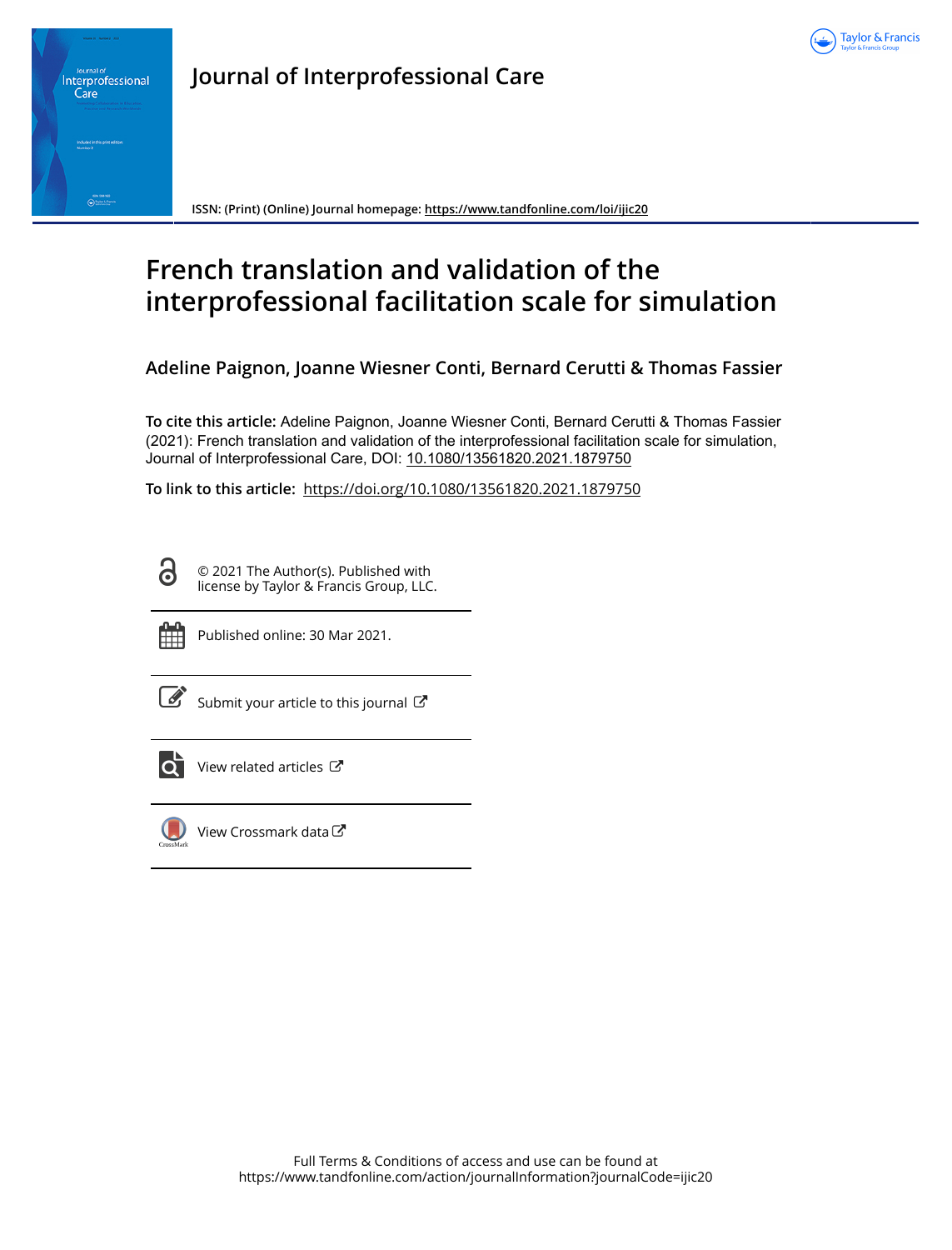



**Journal of Interprofessional Care**

**ISSN: (Print) (Online) Journal homepage:<https://www.tandfonline.com/loi/ijic20>**

# **French translation and validation of the interprofessional facilitation scale for simulation**

**Adeline Paignon, Joanne Wiesner Conti, Bernard Cerutti & Thomas Fassier**

**To cite this article:** Adeline Paignon, Joanne Wiesner Conti, Bernard Cerutti & Thomas Fassier (2021): French translation and validation of the interprofessional facilitation scale for simulation, Journal of Interprofessional Care, DOI: [10.1080/13561820.2021.1879750](https://www.tandfonline.com/action/showCitFormats?doi=10.1080/13561820.2021.1879750)

**To link to this article:** <https://doi.org/10.1080/13561820.2021.1879750>

**G** 

© 2021 The Author(s). Published with license by Taylor & Francis Group, LLC.



Published online: 30 Mar 2021.

| I |
|---|

[Submit your article to this journal](https://www.tandfonline.com/action/authorSubmission?journalCode=ijic20&show=instructions)  $\mathbb{Z}$ 



View related articles



[View Crossmark data](http://crossmark.crossref.org/dialog/?doi=10.1080/13561820.2021.1879750&domain=pdf&date_stamp=2021-03-30) $\mathbb{Z}$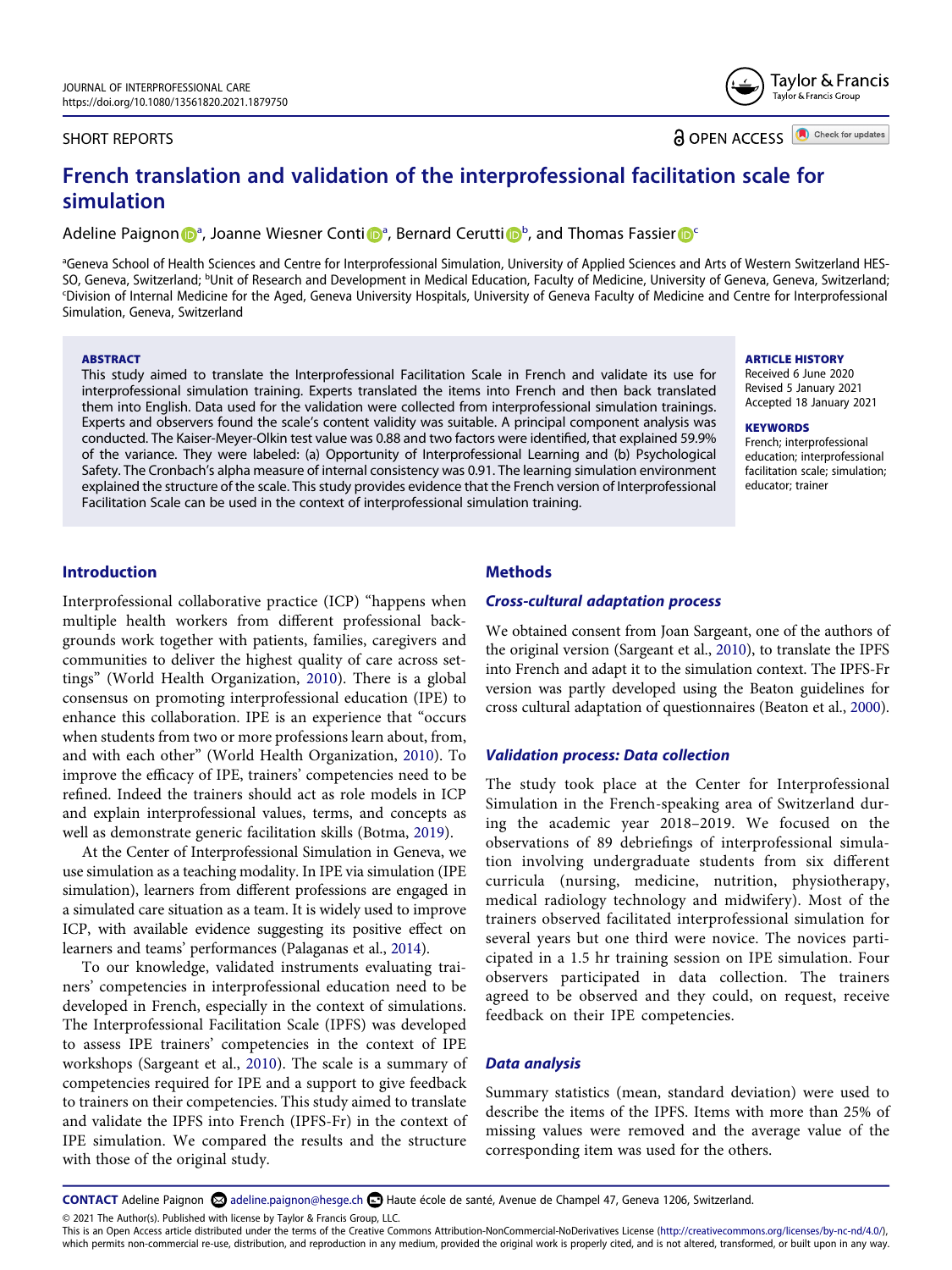#### SHORT REPORTS

**a** OPEN ACCESS **ID** Check for updates

Taylor & Francis Taylor & Francis Group

# **French translation and validation of the interprofessional facilitation scale for simulation**

Adeline P[a](#page-1-0)ignon **D**<sup>a</sup>, Joanne Wiesner Conti D<sup>a</sup>, Bernard Cerutti D<sup>[b](#page-1-1)</sup>, and Thomas Fassier D<sup>e</sup>

<span id="page-1-2"></span><span id="page-1-1"></span><span id="page-1-0"></span><sup>a</sup>Geneva School of Health Sciences and Centre for Interprofessional Simulation, University of Applied Sciences and Arts of Western Switzerland HES-SO, Geneva, Switzerland; <sup>b</sup>Unit of Research and Development in Medical Education, Faculty of Medicine, University of Geneva, Geneva, Switzerland;<br>Division of Internal Medicine for the Aged. Geneva University Hospitals, Un Division of Internal Medicine for the Aged, Geneva University Hospitals, University of Geneva Faculty of Medicine and Centre for Interprofessional Simulation, Geneva, Switzerland

#### **ABSTRACT**

This study aimed to translate the Interprofessional Facilitation Scale in French and validate its use for interprofessional simulation training. Experts translated the items into French and then back translated them into English. Data used for the validation were collected from interprofessional simulation trainings. Experts and observers found the scale's content validity was suitable. A principal component analysis was conducted. The Kaiser-Meyer-Olkin test value was 0.88 and two factors were identified, that explained 59.9% of the variance. They were labeled: (a) Opportunity of Interprofessional Learning and (b) Psychological Safety. The Cronbach's alpha measure of internal consistency was 0.91. The learning simulation environment explained the structure of the scale. This study provides evidence that the French version of Interprofessional Facilitation Scale can be used in the context of interprofessional simulation training.

#### **ARTICLE HISTORY**

Received 6 June 2020 Revised 5 January 2021 Accepted 18 January 2021

#### **KEYWORDS**

French; interprofessional education; interprofessional facilitation scale; simulation; educator; trainer

# **Introduction**

Interprofessional collaborative practice (ICP) "happens when multiple health workers from different professional backgrounds work together with patients, families, caregivers and communities to deliver the highest quality of care across settings" (World Health Organization, [2010](#page-5-0)). There is a global consensus on promoting interprofessional education (IPE) to enhance this collaboration. IPE is an experience that "occurs when students from two or more professions learn about, from, and with each other" (World Health Organization, [2010\)](#page-5-0). To improve the efficacy of IPE, trainers' competencies need to be refined. Indeed the trainers should act as role models in ICP and explain interprofessional values, terms, and concepts as well as demonstrate generic facilitation skills (Botma, [2019](#page-5-1)).

<span id="page-1-7"></span><span id="page-1-4"></span>At the Center of Interprofessional Simulation in Geneva, we use simulation as a teaching modality. In IPE via simulation (IPE simulation), learners from different professions are engaged in a simulated care situation as a team. It is widely used to improve ICP, with available evidence suggesting its positive effect on learners and teams' performances (Palaganas et al., [2014\)](#page-5-2).

<span id="page-1-5"></span>To our knowledge, validated instruments evaluating trainers' competencies in interprofessional education need to be developed in French, especially in the context of simulations. The Interprofessional Facilitation Scale (IPFS) was developed to assess IPE trainers' competencies in the context of IPE workshops (Sargeant et al., [2010\)](#page-5-3). The scale is a summary of competencies required for IPE and a support to give feedback to trainers on their competencies. This study aimed to translate and validate the IPFS into French (IPFS-Fr) in the context of IPE simulation. We compared the results and the structure with those of the original study.

# **Methods**

#### *Cross-cultural adaptation process*

<span id="page-1-6"></span>We obtained consent from Joan Sargeant, one of the authors of the original version (Sargeant et al., [2010\)](#page-5-3), to translate the IPFS into French and adapt it to the simulation context. The IPFS-Fr version was partly developed using the Beaton guidelines for cross cultural adaptation of questionnaires (Beaton et al., [2000](#page-5-4)).

#### <span id="page-1-3"></span>*Validation process: Data collection*

The study took place at the Center for Interprofessional Simulation in the French-speaking area of Switzerland during the academic year 2018–2019. We focused on the observations of 89 debriefings of interprofessional simulation involving undergraduate students from six different curricula (nursing, medicine, nutrition, physiotherapy, medical radiology technology and midwifery). Most of the trainers observed facilitated interprofessional simulation for several years but one third were novice. The novices participated in a 1.5 hr training session on IPE simulation. Four observers participated in data collection. The trainers agreed to be observed and they could, on request, receive feedback on their IPE competencies.

#### *Data analysis*

Summary statistics (mean, standard deviation) were used to describe the items of the IPFS. Items with more than 25% of missing values were removed and the average value of the corresponding item was used for the others.

CONTACT Adeline Paignon adeline.paignon@hesge.ch **■** Haute école de santé, Avenue de Champel 47, Geneva 1206, Switzerland.

© 2021 The Author(s). Published with license by Taylor & Francis Group, LLC.

This is an Open Access article distributed under the terms of the Creative Commons Attribution-NonCommercial-NoDerivatives License (http://creativecommons.org/licenses/by-nc-nd/4.0/), which permits non-commercial re-use, distribution, and reproduction in any medium, provided the original work is properly cited, and is not altered, transformed, or built upon in any way.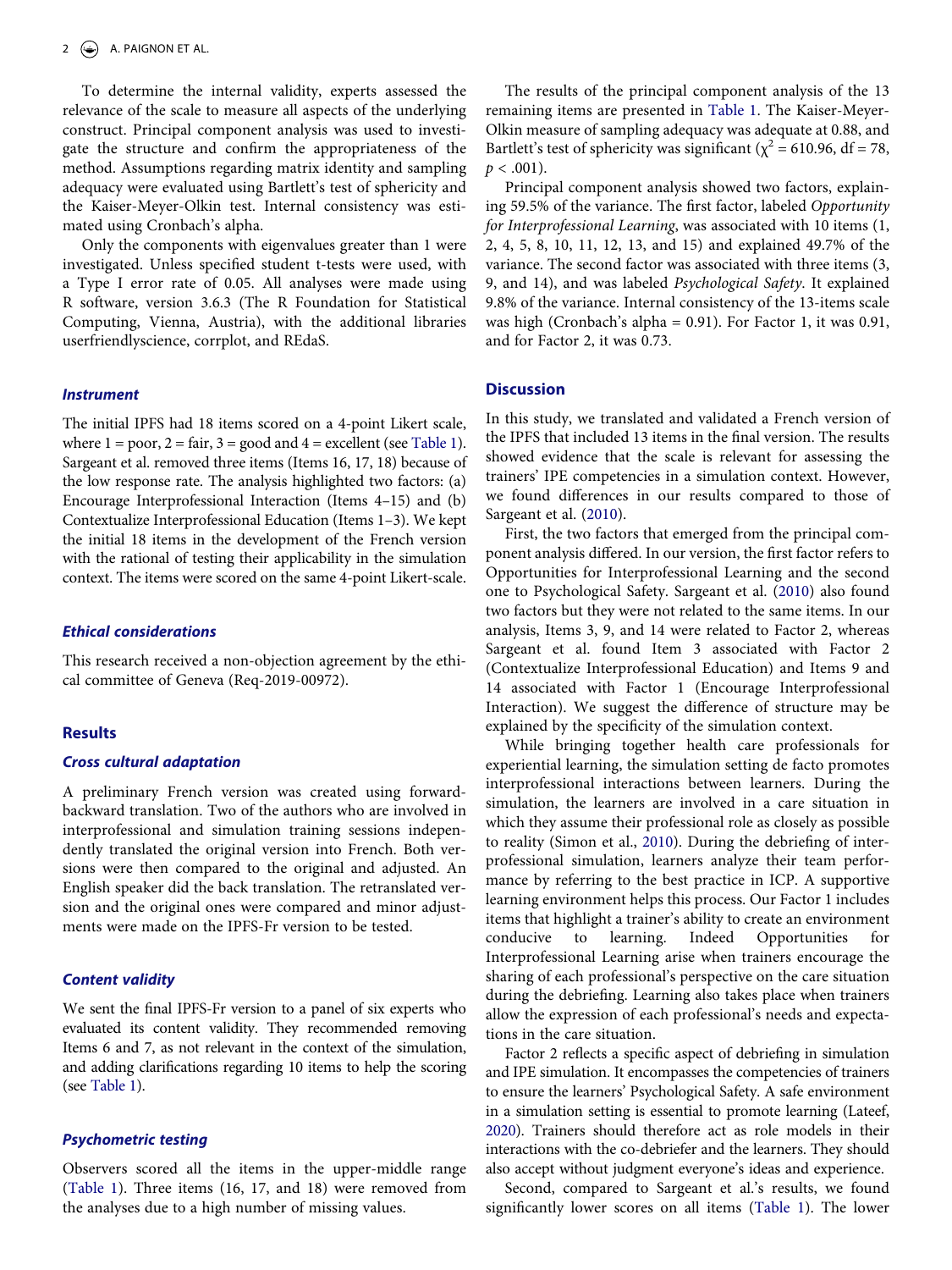To determine the internal validity, experts assessed the relevance of the scale to measure all aspects of the underlying construct. Principal component analysis was used to investigate the structure and confirm the appropriateness of the method. Assumptions regarding matrix identity and sampling adequacy were evaluated using Bartlett's test of sphericity and the Kaiser-Meyer-Olkin test. Internal consistency was estimated using Cronbach's alpha.

Only the components with eigenvalues greater than 1 were investigated. Unless specified student t-tests were used, with a Type I error rate of 0.05. All analyses were made using R software, version 3.6.3 (The R Foundation for Statistical Computing, Vienna, Austria), with the additional libraries userfriendlyscience, corrplot, and REdaS.

# *Instrument*

The initial IPFS had 18 items scored on a 4-point Likert scale, where  $1 = poor$ ,  $2 = fair$ ,  $3 = good$  and  $4 = excellent$  (see [Table 1](#page-3-0)). Sargeant et al. removed three items (Items 16, 17, 18) because of the low response rate. The analysis highlighted two factors: (a) Encourage Interprofessional Interaction (Items 4–15) and (b) Contextualize Interprofessional Education (Items 1–3). We kept the initial 18 items in the development of the French version with the rational of testing their applicability in the simulation context. The items were scored on the same 4-point Likert-scale.

#### *Ethical considerations*

This research received a non-objection agreement by the ethical committee of Geneva (Req-2019-00972).

#### **Results**

#### *Cross cultural adaptation*

A preliminary French version was created using forwardbackward translation. Two of the authors who are involved in interprofessional and simulation training sessions independently translated the original version into French. Both versions were then compared to the original and adjusted. An English speaker did the back translation. The retranslated version and the original ones were compared and minor adjustments were made on the IPFS-Fr version to be tested.

#### *Content validity*

We sent the final IPFS-Fr version to a panel of six experts who evaluated its content validity. They recommended removing Items 6 and 7, as not relevant in the context of the simulation, and adding clarifications regarding 10 items to help the scoring (see [Table 1](#page-3-0)).

# *Psychometric testing*

Observers scored all the items in the upper-middle range [\(Table 1\)](#page-3-0). Three items (16, 17, and 18) were removed from the analyses due to a high number of missing values.

The results of the principal component analysis of the 13 remaining items are presented in [Table 1](#page-3-0). The Kaiser-Meyer-Olkin measure of sampling adequacy was adequate at 0.88, and Bartlett's test of sphericity was significant ( $\chi^2$  = 610.96, df = 78,  $p < .001$ ).

Principal component analysis showed two factors, explaining 59.5% of the variance. The first factor, labeled *Opportunity for Interprofessional Learning*, was associated with 10 items (1, 2, 4, 5, 8, 10, 11, 12, 13, and 15) and explained 49.7% of the variance. The second factor was associated with three items (3, 9, and 14), and was labeled *Psychological Safety*. It explained 9.8% of the variance. Internal consistency of the 13-items scale was high (Cronbach's alpha = 0.91). For Factor 1, it was 0.91, and for Factor 2, it was 0.73.

#### **Discussion**

In this study, we translated and validated a French version of the IPFS that included 13 items in the final version. The results showed evidence that the scale is relevant for assessing the trainers' IPE competencies in a simulation context. However, we found differences in our results compared to those of Sargeant et al. [\(2010](#page-5-3)).

First, the two factors that emerged from the principal component analysis differed. In our version, the first factor refers to Opportunities for Interprofessional Learning and the second one to Psychological Safety. Sargeant et al. ([2010\)](#page-5-3) also found two factors but they were not related to the same items. In our analysis, Items 3, 9, and 14 were related to Factor 2, whereas Sargeant et al. found Item 3 associated with Factor 2 (Contextualize Interprofessional Education) and Items 9 and 14 associated with Factor 1 (Encourage Interprofessional Interaction). We suggest the difference of structure may be explained by the specificity of the simulation context.

<span id="page-2-1"></span>While bringing together health care professionals for experiential learning, the simulation setting de facto promotes interprofessional interactions between learners. During the simulation, the learners are involved in a care situation in which they assume their professional role as closely as possible to reality (Simon et al., [2010\)](#page-5-5). During the debriefing of interprofessional simulation, learners analyze their team performance by referring to the best practice in ICP. A supportive learning environment helps this process. Our Factor 1 includes items that highlight a trainer's ability to create an environment conducive to learning. Indeed Opportunities for Interprofessional Learning arise when trainers encourage the sharing of each professional's perspective on the care situation during the debriefing. Learning also takes place when trainers allow the expression of each professional's needs and expectations in the care situation.

<span id="page-2-0"></span>Factor 2 reflects a specific aspect of debriefing in simulation and IPE simulation. It encompasses the competencies of trainers to ensure the learners' Psychological Safety. A safe environment in a simulation setting is essential to promote learning (Lateef, [2020\)](#page-5-6). Trainers should therefore act as role models in their interactions with the co-debriefer and the learners. They should also accept without judgment everyone's ideas and experience.

Second, compared to Sargeant et al.'s results, we found significantly lower scores on all items ([Table 1](#page-3-0)). The lower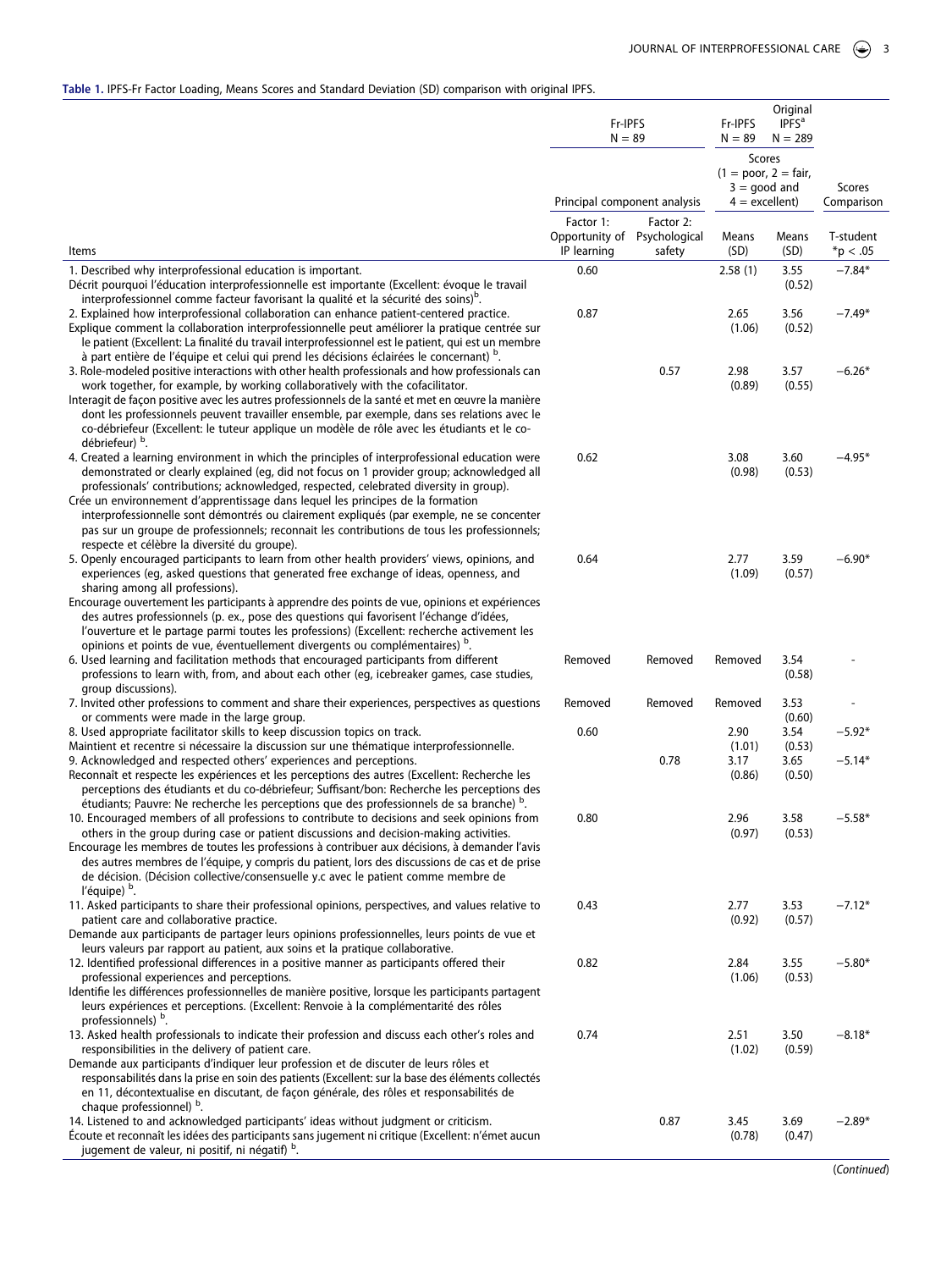# <span id="page-3-0"></span>**Table 1.** IPFS-Fr Factor Loading, Means Scores and Standard Deviation (SD) comparison with original IPFS.

|                                                                                                                                                                                                                                                                                                                                                                                                                                                                                                                                                                                                                       | Fr-IPFS<br>$N = 89$<br>Principal component analysis      |                     | Fr-IPFS<br>$N = 89$                                                    | Original<br>IPFS <sup>a</sup><br>$N = 289$ |                          |  |
|-----------------------------------------------------------------------------------------------------------------------------------------------------------------------------------------------------------------------------------------------------------------------------------------------------------------------------------------------------------------------------------------------------------------------------------------------------------------------------------------------------------------------------------------------------------------------------------------------------------------------|----------------------------------------------------------|---------------------|------------------------------------------------------------------------|--------------------------------------------|--------------------------|--|
|                                                                                                                                                                                                                                                                                                                                                                                                                                                                                                                                                                                                                       |                                                          |                     | Scores<br>$(1 = poor, 2 = fair,$<br>$3 =$ good and<br>$4 =$ excellent) |                                            | Scores<br>Comparison     |  |
| Items                                                                                                                                                                                                                                                                                                                                                                                                                                                                                                                                                                                                                 | Factor 1:<br>Opportunity of Psychological<br>IP learning | Factor 2:<br>safety | Means<br>(SD)                                                          | Means<br>(SD)                              | T-student<br>$*$ p < .05 |  |
| 1. Described why interprofessional education is important.                                                                                                                                                                                                                                                                                                                                                                                                                                                                                                                                                            | 0.60                                                     |                     | 2.58(1)                                                                | 3.55                                       | $-7.84*$                 |  |
| Décrit pourquoi l'éducation interprofessionnelle est importante (Excellent: évoque le travail<br>interprofessionnel comme facteur favorisant la qualité et la sécurité des soins) <sup>b</sup> .                                                                                                                                                                                                                                                                                                                                                                                                                      |                                                          |                     |                                                                        | (0.52)                                     |                          |  |
| 2. Explained how interprofessional collaboration can enhance patient-centered practice.<br>Explique comment la collaboration interprofessionnelle peut améliorer la pratique centrée sur<br>le patient (Excellent: La finalité du travail interprofessionnel est le patient, qui est un membre<br>à part entière de l'équipe et celui qui prend les décisions éclairées le concernant) b.                                                                                                                                                                                                                             | 0.87                                                     |                     | 2.65<br>(1.06)                                                         | 3.56<br>(0.52)                             | $-7.49*$                 |  |
| 3. Role-modeled positive interactions with other health professionals and how professionals can<br>work together, for example, by working collaboratively with the cofacilitator.                                                                                                                                                                                                                                                                                                                                                                                                                                     |                                                          | 0.57                | 2.98<br>(0.89)                                                         | 3.57<br>(0.55)                             | $-6.26*$                 |  |
| Interagit de façon positive avec les autres professionnels de la santé et met en œuvre la manière<br>dont les professionnels peuvent travailler ensemble, par exemple, dans ses relations avec le<br>co-débriefeur (Excellent: le tuteur applique un modèle de rôle avec les étudiants et le co-<br>débriefeur) <sup>b</sup> .                                                                                                                                                                                                                                                                                        |                                                          |                     |                                                                        |                                            |                          |  |
| 4. Created a learning environment in which the principles of interprofessional education were<br>demonstrated or clearly explained (eq, did not focus on 1 provider group; acknowledged all<br>professionals' contributions; acknowledged, respected, celebrated diversity in group).<br>Crée un environnement d'apprentissage dans lequel les principes de la formation<br>interprofessionnelle sont démontrés ou clairement expliqués (par exemple, ne se concenter<br>pas sur un groupe de professionnels; reconnait les contributions de tous les professionnels;<br>respecte et célèbre la diversité du groupe). | 0.62                                                     |                     | 3.08<br>(0.98)                                                         | 3.60<br>(0.53)                             | $-4.95*$                 |  |
| 5. Openly encouraged participants to learn from other health providers' views, opinions, and<br>experiences (eg, asked questions that generated free exchange of ideas, openness, and<br>sharing among all professions).                                                                                                                                                                                                                                                                                                                                                                                              | 0.64                                                     |                     | 2.77<br>(1.09)                                                         | 3.59<br>(0.57)                             | $-6.90*$                 |  |
| Encourage ouvertement les participants à apprendre des points de vue, opinions et expériences<br>des autres professionnels (p. ex., pose des questions qui favorisent l'échange d'idées,<br>l'ouverture et le partage parmi toutes les professions) (Excellent: recherche activement les<br>opinions et points de vue, éventuellement divergents ou complémentaires) <sup>b</sup> .                                                                                                                                                                                                                                   |                                                          |                     |                                                                        |                                            |                          |  |
| 6. Used learning and facilitation methods that encouraged participants from different<br>professions to learn with, from, and about each other (eg, icebreaker games, case studies,<br>group discussions).                                                                                                                                                                                                                                                                                                                                                                                                            | Removed                                                  | Removed             | Removed                                                                | 3.54<br>(0.58)                             |                          |  |
| 7. Invited other professions to comment and share their experiences, perspectives as questions                                                                                                                                                                                                                                                                                                                                                                                                                                                                                                                        | Removed                                                  | Removed             | Removed                                                                | 3.53                                       |                          |  |
| or comments were made in the large group.<br>8. Used appropriate facilitator skills to keep discussion topics on track.                                                                                                                                                                                                                                                                                                                                                                                                                                                                                               | 0.60                                                     |                     | 2.90                                                                   | (0.60)<br>3.54                             | $-5.92*$                 |  |
| Maintient et recentre si nécessaire la discussion sur une thématique interprofessionnelle.                                                                                                                                                                                                                                                                                                                                                                                                                                                                                                                            |                                                          |                     | (1.01)                                                                 | (0.53)                                     |                          |  |
| 9. Acknowledged and respected others' experiences and perceptions.<br>Reconnaît et respecte les expériences et les perceptions des autres (Excellent: Recherche les<br>perceptions des étudiants et du co-débriefeur; Suffisant/bon: Recherche les perceptions des<br>étudiants; Pauvre: Ne recherche les perceptions que des professionnels de sa branche) <sup>D</sup> .                                                                                                                                                                                                                                            |                                                          | 0.78                | 3.17<br>(0.86)                                                         | 3.65<br>(0.50)                             | $-5.14*$                 |  |
| 10. Encouraged members of all professions to contribute to decisions and seek opinions from<br>others in the group during case or patient discussions and decision-making activities.<br>Encourage les membres de toutes les professions à contribuer aux décisions, à demander l'avis<br>des autres membres de l'équipe, y compris du patient, lors des discussions de cas et de prise<br>de décision. (Décision collective/consensuelle y.c avec le patient comme membre de<br>l'équipe) <sup>b</sup> .                                                                                                             | 0.80                                                     |                     | 2.96<br>(0.97)                                                         | 3.58<br>(0.53)                             | $-5.58*$                 |  |
| 11. Asked participants to share their professional opinions, perspectives, and values relative to<br>patient care and collaborative practice.                                                                                                                                                                                                                                                                                                                                                                                                                                                                         | 0.43                                                     |                     | 2.77<br>(0.92)                                                         | 3.53<br>(0.57)                             | $-7.12*$                 |  |
| Demande aux participants de partager leurs opinions professionnelles, leurs points de vue et<br>leurs valeurs par rapport au patient, aux soins et la pratique collaborative.<br>12. Identified professional differences in a positive manner as participants offered their                                                                                                                                                                                                                                                                                                                                           | 0.82                                                     |                     | 2.84                                                                   | 3.55                                       | $-5.80*$                 |  |
| professional experiences and perceptions.<br>Identifie les différences professionnelles de manière positive, lorsque les participants partagent<br>leurs expériences et perceptions. (Excellent: Renvoie à la complémentarité des rôles<br>professionnels) <sup>b</sup> .                                                                                                                                                                                                                                                                                                                                             |                                                          |                     | (1.06)                                                                 | (0.53)                                     |                          |  |
| 13. Asked health professionals to indicate their profession and discuss each other's roles and<br>responsibilities in the delivery of patient care.<br>Demande aux participants d'indiquer leur profession et de discuter de leurs rôles et                                                                                                                                                                                                                                                                                                                                                                           | 0.74                                                     |                     | 2.51<br>(1.02)                                                         | 3.50<br>(0.59)                             | $-8.18*$                 |  |
| responsabilités dans la prise en soin des patients (Excellent: sur la base des éléments collectés<br>en 11, décontextualise en discutant, de façon générale, des rôles et responsabilités de<br>chaque professionnel) b.                                                                                                                                                                                                                                                                                                                                                                                              |                                                          |                     |                                                                        |                                            |                          |  |
| 14. Listened to and acknowledged participants' ideas without judgment or criticism.<br>Écoute et reconnaît les idées des participants sans jugement ni critique (Excellent: n'émet aucun<br>jugement de valeur, ni positif, ni négatif) b.                                                                                                                                                                                                                                                                                                                                                                            |                                                          | 0.87                | 3.45<br>(0.78)                                                         | 3.69<br>(0.47)                             | $-2.89*$                 |  |

(*Continued*)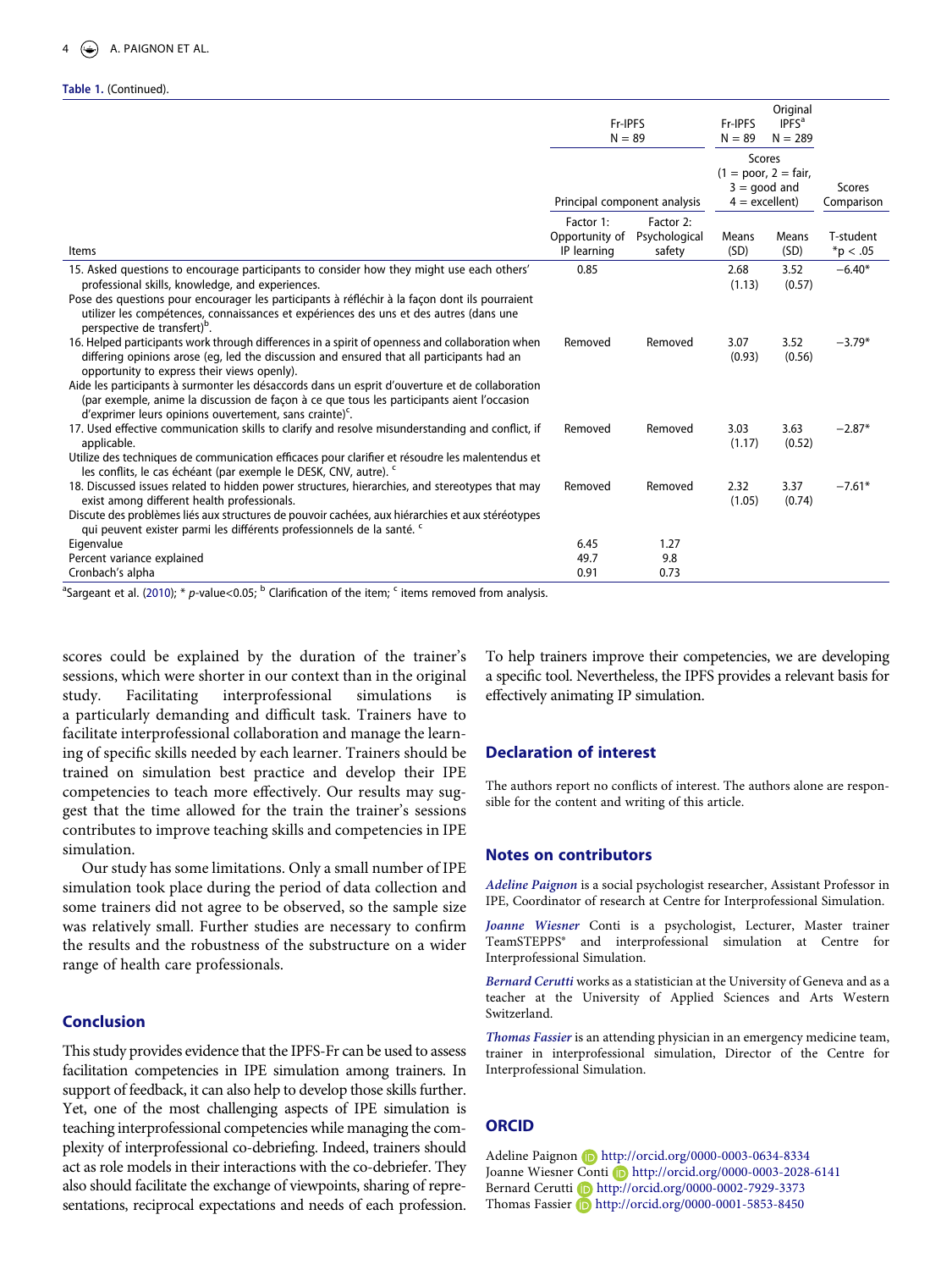#### **Table 1.** (Continued).

|                                                                                                                                                                                                                                                                                                                                                                                                                                                                                                                     | Fr-IPFS<br>$N = 89$                        |                                                                               | Fr-IPFS<br>$N = 89$ | Original<br><b>IPFS</b> <sup>a</sup><br>$N = 289$ |                            |
|---------------------------------------------------------------------------------------------------------------------------------------------------------------------------------------------------------------------------------------------------------------------------------------------------------------------------------------------------------------------------------------------------------------------------------------------------------------------------------------------------------------------|--------------------------------------------|-------------------------------------------------------------------------------|---------------------|---------------------------------------------------|----------------------------|
|                                                                                                                                                                                                                                                                                                                                                                                                                                                                                                                     | Principal component analysis               | <b>Scores</b><br>$(1 = poor, 2 = fair,$<br>$3 =$ qood and<br>$4 =$ excellent) |                     | Scores<br>Comparison                              |                            |
| Items                                                                                                                                                                                                                                                                                                                                                                                                                                                                                                               | Factor 1:<br>Opportunity of<br>IP learning | Factor 2:<br>Psychological<br>safety                                          | Means<br>(SD)       | Means<br>(SD)                                     | T-student<br>$*_{p} < .05$ |
| 15. Asked questions to encourage participants to consider how they might use each others'<br>professional skills, knowledge, and experiences.<br>Pose des questions pour encourager les participants à réfléchir à la façon dont ils pourraient<br>utilizer les compétences, connaissances et expériences des uns et des autres (dans une<br>perspective de transfert) <sup>b</sup> .                                                                                                                               | 0.85                                       |                                                                               | 2.68<br>(1.13)      | 3.52<br>(0.57)                                    | $-6.40*$                   |
| 16. Helped participants work through differences in a spirit of openness and collaboration when<br>differing opinions arose (eq, led the discussion and ensured that all participants had an<br>opportunity to express their views openly).<br>Aide les participants à surmonter les désaccords dans un esprit d'ouverture et de collaboration<br>(par exemple, anime la discussion de façon à ce que tous les participants aient l'occasion<br>d'exprimer leurs opinions ouvertement, sans crainte) <sup>c</sup> . | Removed                                    | Removed                                                                       | 3.07<br>(0.93)      | 3.52<br>(0.56)                                    | $-3.79*$                   |
| 17. Used effective communication skills to clarify and resolve misunderstanding and conflict, if<br>applicable.<br>Utilize des techniques de communication efficaces pour clarifier et résoudre les malentendus et<br>les conflits, le cas échéant (par exemple le DESK, CNV, autre). <sup>c</sup>                                                                                                                                                                                                                  | Removed                                    | Removed                                                                       | 3.03<br>(1.17)      | 3.63<br>(0.52)                                    | $-2.87*$                   |
| 18. Discussed issues related to hidden power structures, hierarchies, and stereotypes that may<br>exist among different health professionals.<br>Discute des problèmes liés aux structures de pouvoir cachées, aux hiérarchies et aux stéréotypes<br>qui peuvent exister parmi les différents professionnels de la santé. <sup>c</sup>                                                                                                                                                                              | Removed                                    | Removed                                                                       | 2.32<br>(1.05)      | 3.37<br>(0.74)                                    | $-7.61*$                   |
| Eigenvalue<br>Percent variance explained<br>Cronbach's alpha                                                                                                                                                                                                                                                                                                                                                                                                                                                        | 6.45<br>49.7<br>0.91                       | 1.27<br>9.8<br>0.73                                                           |                     |                                                   |                            |

<sup>a</sup>Sargeant et al. [\(2010](#page-5-3)); \* *p*-value<0.05; <sup>b</sup> Clarification of the item; <sup>c</sup> items removed from analysis.

scores could be explained by the duration of the trainer's sessions, which were shorter in our context than in the original study. Facilitating interprofessional simulations is a particularly demanding and difficult task. Trainers have to facilitate interprofessional collaboration and manage the learning of specific skills needed by each learner. Trainers should be trained on simulation best practice and develop their IPE competencies to teach more effectively. Our results may suggest that the time allowed for the train the trainer's sessions contributes to improve teaching skills and competencies in IPE simulation.

Our study has some limitations. Only a small number of IPE simulation took place during the period of data collection and some trainers did not agree to be observed, so the sample size was relatively small. Further studies are necessary to confirm the results and the robustness of the substructure on a wider range of health care professionals.

# **Conclusion**

This study provides evidence that the IPFS-Fr can be used to assess facilitation competencies in IPE simulation among trainers. In support of feedback, it can also help to develop those skills further. Yet, one of the most challenging aspects of IPE simulation is teaching interprofessional competencies while managing the complexity of interprofessional co-debriefing. Indeed, trainers should act as role models in their interactions with the co-debriefer. They also should facilitate the exchange of viewpoints, sharing of representations, reciprocal expectations and needs of each profession.

To help trainers improve their competencies, we are developing a specific tool. Nevertheless, the IPFS provides a relevant basis for effectively animating IP simulation.

#### **Declaration of interest**

The authors report no conflicts of interest. The authors alone are responsible for the content and writing of this article.

#### **Notes on contributors**

*Adeline Paignon* is a social psychologist researcher, Assistant Professor in IPE, Coordinator of research at Centre for Interprofessional Simulation.

*Joanne Wiesner* Conti is a psychologist, Lecturer, Master trainer TeamSTEPPS® and interprofessional simulation at Centre for Interprofessional Simulation.

*Bernard Cerutti* works as a statistician at the University of Geneva and as a teacher at the University of Applied Sciences and Arts Western Switzerland.

*Thomas Fassier* is an attending physician in an emergency medicine team, trainer in interprofessional simulation, Director of the Centre for Interprofessional Simulation.

#### **ORCID**

Adeline Paignon (D http://orcid.org/0000-0003-0634-8334 Joanne Wiesner Conti D http://orcid.org/0000-0003-2028-6141 Bernard Cerutti D http://orcid.org/0000-0002-7929-3373 Thomas Fassier **b** http://orcid.org/0000-0001-5853-8450